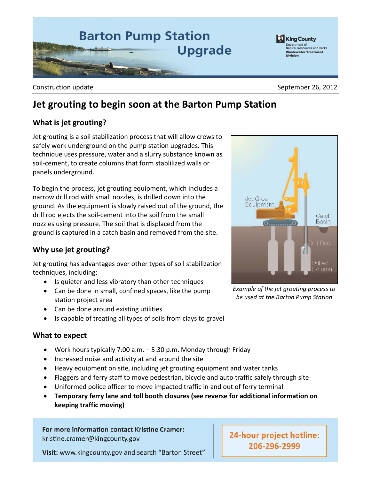

Construction update **September 26, 2012** 

# **Jet grouting to begin soon at the Barton Pump Station**

## **What is jet grouting?**

Jet grouting is a soil stabilization process that will allow crews to safely work underground on the pump station upgrades. This technique uses pressure, water and a slurry substance known as soil-cement, to create columns that form stablilized walls or panels underground.

To begin the process, jet grouting equipment, which includes a narrow drill rod with small nozzles, is drilled down into the ground. As the equipment is slowly raised out of the ground, the drill rod ejects the soil-cement into the soil from the small nozzles using pressure. The soil that is displaced from the ground is captured in a catch basin and removed from the site.

### **Why use jet grouting?**

Jet grouting has advantages over other types of soil stabilization techniques, including:

- Is quieter and less vibratory than other techniques
- Can be done in small, confined spaces, like the pump station project area
- Can be done around existing utilities
- Is capable of treating all types of soils from clays to gravel

#### **What to expect**

- Work hours typically 7:00 a.m. 5:30 p.m. Monday through Friday
- Increased noise and activity at and around the site
- Heavy equipment on site, including jet grouting equipment and water tanks
- Flaggers and ferry staff to move pedestrian, bicycle and auto traffic safely through site
- Uniformed police officer to move impacted traffic in and out of ferry terminal
- **Temporary ferry lane and toll booth closures (see reverse for additional information on keeping traffic moving)**

For more information contact Kristine Cramer: kristine.cramer@kingcounty.gov

Visit: www.kingcounty.gov and search "Barton Street"



*Example of the jet grouting process to be used at the Barton Pump Station*

24-hour project hotline: 206-296-2999